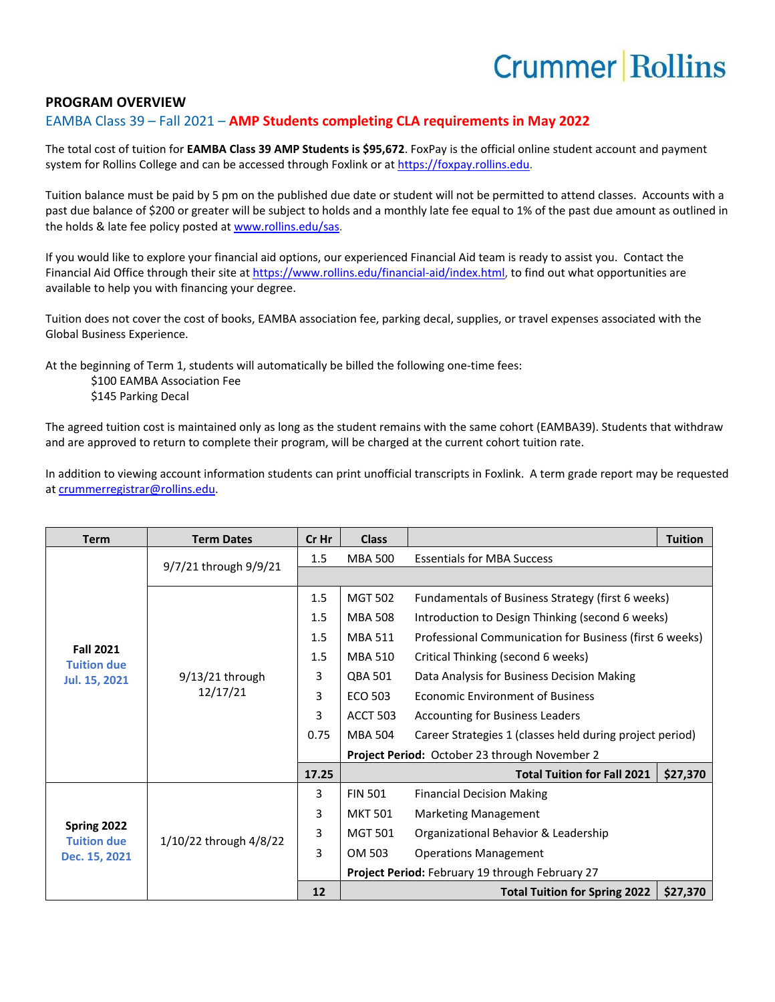## **Crummer Rollins**

## **PROGRAM OVERVIEW**

## EAMBA Class 39 – Fall 2021 – **AMP Students completing CLA requirements in May 2022**

The total cost of tuition for **EAMBA Class 39 AMP Students is \$95,672**. FoxPay is the official online student account and payment system for Rollins College and can be accessed through Foxlink or a[t https://foxpay.rollins.edu.](https://foxpay.rollins.edu/)

Tuition balance must be paid by 5 pm on the published due date or student will not be permitted to attend classes. Accounts with a past due balance of \$200 or greater will be subject to holds and a monthly late fee equal to 1% of the past due amount as outlined in the holds & late fee policy posted at [www.rollins.edu/sas.](http://www.rollins.edu/sas)

If you would like to explore your financial aid options, our experienced Financial Aid team is ready to assist you. Contact the Financial Aid Office through their site at [https://www.rollins.edu/financial-aid/index.html,](https://www.rollins.edu/financial-aid/index.html) to find out what opportunities are available to help you with financing your degree.

Tuition does not cover the cost of books, EAMBA association fee, parking decal, supplies, or travel expenses associated with the Global Business Experience.

At the beginning of Term 1, students will automatically be billed the following one-time fees:

\$100 EAMBA Association Fee \$145 Parking Decal

The agreed tuition cost is maintained only as long as the student remains with the same cohort (EAMBA39). Students that withdraw and are approved to return to complete their program, will be charged at the current cohort tuition rate.

In addition to viewing account information students can print unofficial transcripts in Foxlink. A term grade report may be requested a[t crummerregistrar@rollins.edu.](mailto:crummerregistrar@rollins.edu)

| <b>Term</b>                                             | <b>Term Dates</b>             | Cr Hr | <b>Class</b>    |                                                          | <b>Tuition</b> |  |
|---------------------------------------------------------|-------------------------------|-------|-----------------|----------------------------------------------------------|----------------|--|
| <b>Fall 2021</b><br><b>Tuition due</b><br>Jul. 15, 2021 | 9/7/21 through 9/9/21         | 1.5   | <b>MBA 500</b>  | <b>Essentials for MBA Success</b>                        |                |  |
|                                                         |                               |       |                 |                                                          |                |  |
|                                                         | $9/13/21$ through<br>12/17/21 | 1.5   | <b>MGT 502</b>  | Fundamentals of Business Strategy (first 6 weeks)        |                |  |
|                                                         |                               | 1.5   | <b>MBA 508</b>  | Introduction to Design Thinking (second 6 weeks)         |                |  |
|                                                         |                               | 1.5   | <b>MBA 511</b>  | Professional Communication for Business (first 6 weeks)  |                |  |
|                                                         |                               | 1.5   | <b>MBA 510</b>  | Critical Thinking (second 6 weeks)                       |                |  |
|                                                         |                               | 3     | QBA 501         | Data Analysis for Business Decision Making               |                |  |
|                                                         |                               | 3     | <b>ECO 503</b>  | <b>Economic Environment of Business</b>                  |                |  |
|                                                         |                               | 3     | <b>ACCT 503</b> | <b>Accounting for Business Leaders</b>                   |                |  |
|                                                         |                               | 0.75  | <b>MBA 504</b>  | Career Strategies 1 (classes held during project period) |                |  |
|                                                         |                               |       |                 | Project Period: October 23 through November 2            |                |  |
|                                                         |                               | 17.25 |                 | <b>Total Tuition for Fall 2021</b>                       | \$27,370       |  |
| Spring 2022<br><b>Tuition due</b><br>Dec. 15, 2021      | 1/10/22 through 4/8/22        | 3     | <b>FIN 501</b>  | <b>Financial Decision Making</b>                         |                |  |
|                                                         |                               | 3     | <b>MKT 501</b>  | <b>Marketing Management</b>                              |                |  |
|                                                         |                               | 3     | <b>MGT 501</b>  | Organizational Behavior & Leadership                     |                |  |
|                                                         |                               | 3     | OM 503          | <b>Operations Management</b>                             |                |  |
|                                                         |                               |       |                 | Project Period: February 19 through February 27          |                |  |
|                                                         |                               | 12    |                 | <b>Total Tuition for Spring 2022</b>                     | \$27,370       |  |